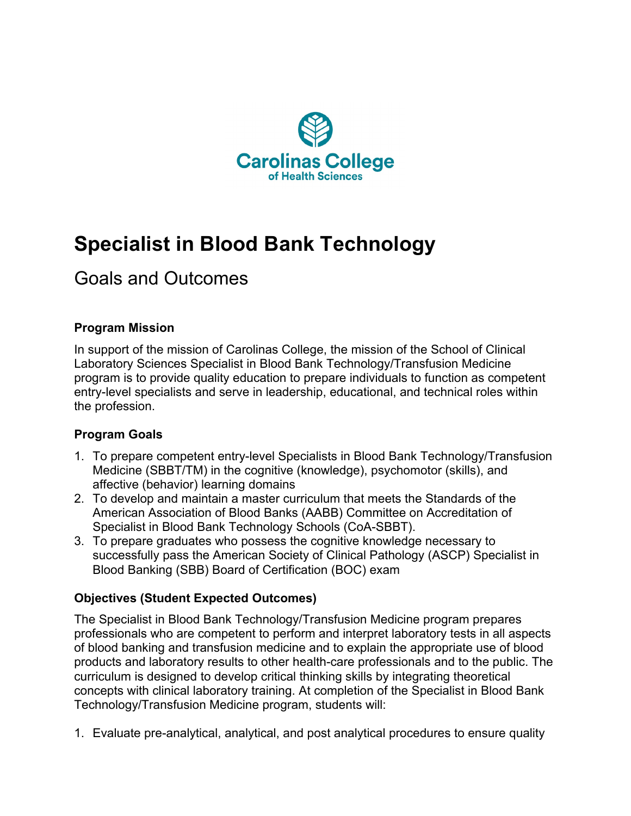

# **Specialist in Blood Bank Technology**

# Goals and Outcomes

# **Program Mission**

In support of the mission of Carolinas College, the mission of the School of Clinical Laboratory Sciences Specialist in Blood Bank Technology/Transfusion Medicine program is to provide quality education to prepare individuals to function as competent entry-level specialists and serve in leadership, educational, and technical roles within the profession.

#### **Program Goals**

- 1. To prepare competent entry-level Specialists in Blood Bank Technology/Transfusion Medicine (SBBT/TM) in the cognitive (knowledge), psychomotor (skills), and affective (behavior) learning domains
- 2. To develop and maintain a master curriculum that meets the Standards of the American Association of Blood Banks (AABB) Committee on Accreditation of Specialist in Blood Bank Technology Schools (CoA-SBBT).
- 3. To prepare graduates who possess the cognitive knowledge necessary to successfully pass the American Society of Clinical Pathology (ASCP) Specialist in Blood Banking (SBB) Board of Certification (BOC) exam

# **Objectives (Student Expected Outcomes)**

The Specialist in Blood Bank Technology/Transfusion Medicine program prepares professionals who are competent to perform and interpret laboratory tests in all aspects of blood banking and transfusion medicine and to explain the appropriate use of blood products and laboratory results to other health-care professionals and to the public. The curriculum is designed to develop critical thinking skills by integrating theoretical concepts with clinical laboratory training. At completion of the Specialist in Blood Bank Technology/Transfusion Medicine program, students will:

1. Evaluate pre-analytical, analytical, and post analytical procedures to ensure quality